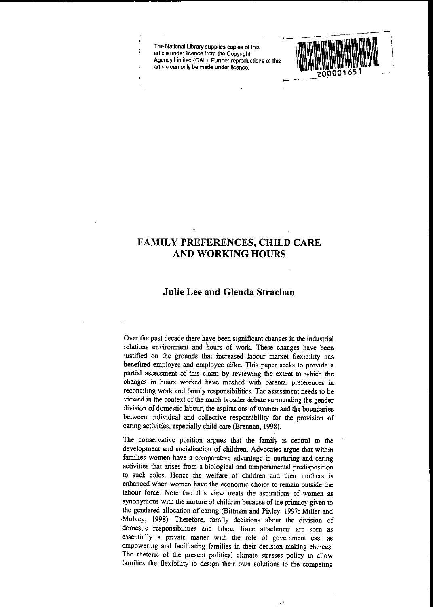The National Library supplies copies of this article under licence from the Copyright Agency Limited (CAL). Further reproductions of this article can only be made under licence.



# **FAMILY PREFERENCES, CHILD CARE AND WORKING HOURS**

# **Julie Lee and Glenda Strachan**

Over the past decade there have been significant changes in the industrial relations environment and bours of work. These cbanges have been justified on the grounds that increased labour market flexibility has benefited employer and employee alike. This paper seeks to provide a partial assessment of this claim by reviewing the extent to which the changes in hours worked have meshed with parental preferences in reconciling work and family responsibilities. The assessment needs to be viewed in the context of the much broader debate surrounding the gender division of domestic labour, the aspirations ofwomen and **the** boundaries between individual and collective responsibility for the provision of caring activities, especially child care (Brennan, 1998).

The conservative position argues that the family is central to the development and socialisation of children. Advocates argue that within families women have a comparative advantage in nurturing and caring activities that arises from a biological and temperamental predisposition to such roles. Hence the welfare of children and their mothers is enhanced when women have the economic choice to remain outside **the** labour force. Note that this view treats **the** aspirations of women as synonymous with the nurture of children because of the primacy given to the gendered allocation of caring (Bittman and Pixley, 1997; Miller and Mulvey, 1998). Therefore, family decisions about the division of domestic responsibilities and labour force attachment are seen as essentially a private matter with the role of government cast as empowering and facilitating families in their decision making choices. The rhetoric of the present political climate stresses policy to allow families the flexibility to design their own solutions to the competing

.'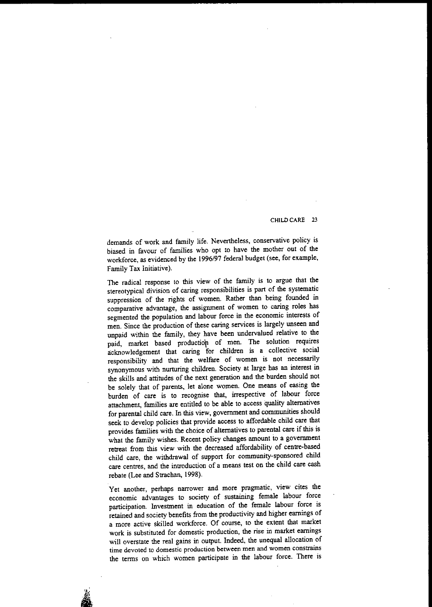demands of work and family life. Nevertheless, conservative policy is biased in favour of families who opt to have the mother out of the workforce, as evidenced by the 1996/97 federal budget (see, for example, Family Tax Initiative).

The radical response to this view of the family is to argue that the stereotypical division of caring responsibilities is part of the systematic suppression of the rights of women. Rather than being founded in comparative advantage, the assignment of women to caring roles has segmented the population and labour force in the economic interests of men. Since the production of these caring services is largely unseen and unpaid within the family, they have been undervalued relative to the paid, market based productiop of men. The solution requires acknowledgement that caring for children is a collective social responsibility and that the welfare of women is not necessarily synonymous with nurturing children. Society at large has an interest in the skills and attitudes of the next generation and the burden should not be solely that of parents, let alone women. One means of easing the burden of care is to recognise that, irrespective of labour force attachment, families are entitled to be able to access quality alternatives for parental child care. In this view, government and communities should seek to develop policies that provide access to affordable child care that provides families with the choice of alternatives to parental care if this is what the family wishes. Recent policy changes amount to a government retreat from this view with the decreased affordability of centre-based child care, the withdrawal of support for community-sponsored child care centres, and the introduction of a means test on the child care cash rebate (Lee and Strachan, 1998).

Yet another, perhaps narrower and more pragmatic, view cites the economic advantages to society of sustaining female labour force participation. Investment in education of the female labour force is retained and society benefits from the productivity and higher earnings of a more active skilled workforce. Of course, to the extent that market **work is substituted for domestic production, the rise in market earnings** will overstate the real gains in output. Indeed, the unequal allocation of **time devoted to domestic production between men and women constrains** the terms on which women participate in the labour force. There is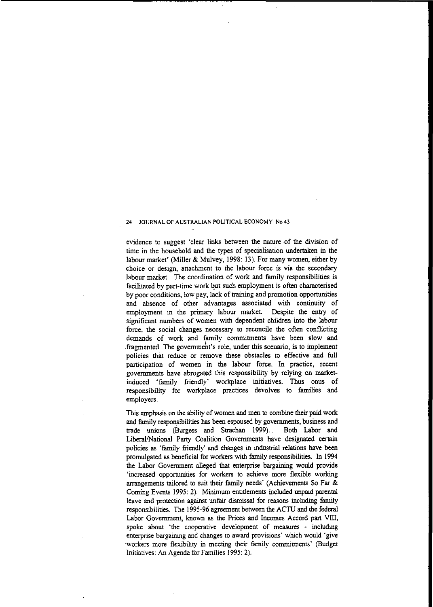evidence to suggest 'clear links between the nature of the division of time in the household and the types of specialisation undertaken in the labour market' (Miller & Mulvey, 1998: 13). For many women, either by choice or design, attachment to the labour force is via the secondary labour market. The coordination of work and family responsibilities is facilitated by part-time work but such employment is often characterised by poor conditions, low pay, lack of training and promotion opportunities and absence of other advantages associated with continuity of employment in the primary labour market. Despite the entry of significant numbers of women with dependent children into the labour force, the social changes necessary to reconcile the often conflicting demands of work and family commitments have been slow and .fragmented. The governmeht's role, under this scenario, is to implement policies that reduce or remove these obstacles to effective and full participation of women in the labour force. In practice, recent governments have abrogated this responsibility by relying on marketinduced 'family friendly' workplace initiatives. Thus onus of responsibility for workplace practices devolves to families and employers.

This emphasis on the ability of women and men to combine their paid work and family responsibilities has been espoused by governments, business and trade unions (Burgess and Straehan 1999).. Both Labor and LiberaIlNationaI Party Coalition Governments have designated cettain policies as 'family friendly' and changes in industrial relations have been promulgated as beneficial for workers with family responsibilities. In 1994 the Labor Government alleged that enterprise bargaining would provide 'increased opportunities for workers to achieve more flexible working arrangements tailored to suit their family needs' (Achievements So Far & Coming Events 1995: 2). Minimum entitlements included unpaid parental leave and protection against unfair dismissal for reasons including family responsibilities. The 1995-96 agreement between the ACTIJ and the federal Labor Government, known as the Prices and Incomes Accord part VllI, spoke about 'the cooperative development of measures - including enterprise bargaining and changes to award provisions' which would 'give workers more flexibility in meeting their family comminnents' (Budget Initiatives: An Agenda for Families 1995: 2).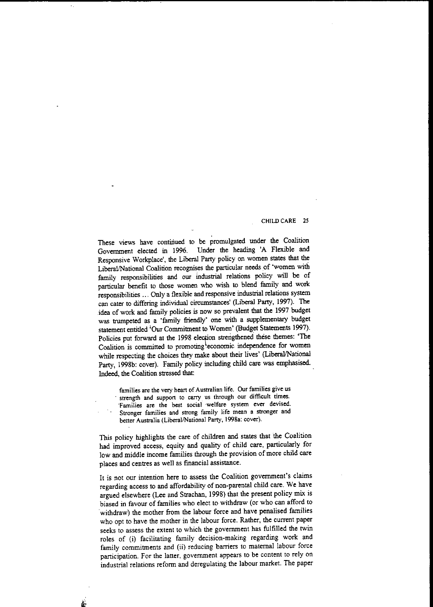### CHILD CARE 2S

These views have continued to be promulgated under the Coalition Government elected in 1996. Under the heading 'A Flexible and Responsive Workplace', the Liberal Party policy on women states that the Liberal/National Coalition recognises the particular needs of 'women with family responsibilities and our industrial relations policy will be of particular benefit to those women who wish to blend family and work responsibilities ... Only a flexible and responsive industrial relations system can cater to differing individual circumstances' (Liberal Party, 1997). The idea of work and family policies is now so prevalent that the 1997 budget was trumpeted as a 'family friendly' one with a supplementary budget statement entitled 'Our Commitment to Women' (Budget Statements 1997). Policies put forward at the 1998 election strengthened these themes: 'The Coalition is committed to promoting<sup>1</sup>economic independence for women while respecting the choices they make about their lives' (Liberal/National Party, 1998b: cover). Family policy including child care was emphasised. Indeed, the Coalition stressed that: .

**families are the very heart of Australian life. Our families give us** . **strength and suppon to CflJ1)', us through our difficult times. 'Families are the best social 'welfare system ever devised. Stronger families and strong family life mean a stronger and** better Australia (Liberal/National Party, 1998a: cover).

This policy highlights the care of children and states that the Coalition had improved access, equity and quality of child care, particularly for low and middle income families through the provision of more child care places and centres as well as financial assistance.

It is not our intention here to assess the Coalition government's claims regarding access to and affordability of non-parental child care. We have argued elsewhere (Lee and Strachan, 1998) that the present policy mix is biased in favour of families who elect to withdraw (or who can afford to 'withdraw) the mother from the labour force and have penalised families who opt to have the mother in the labour force. Rather, the current paper seeks to assess the extent to which the government has fulfilled the twin roles of (i) facilitating family decision-making regarding work and family commitments and (ii) reducing barriers to maternal labour force participation. For the latter, government appears to be content to rely on industrial relations reform and deregulating the labour market. The paper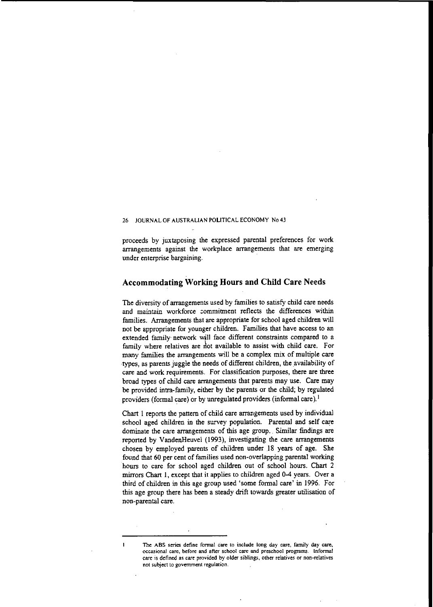proceeds by juxtaposing the expressed parental preferences for work arrangements against the workplace arrangements that are emerging under enterprise bargaining.

# **Accommodating Working Hours and Child Care Needs**

The diversity of arrangements used by families to satisfy child care needs and maintain workforce commitment reflects the differences within families. Arrangements that are appropriate for school aged children will not be appropriate for younger children. Families that have access to an extended family· network will face different constraints compared to a family where relatives are riot available to assist with child care. For many families the arrangements will be a complex mix of multiple care ·types, as parents juggle the needs of different children, the availability of care and work requirements. For classification purposes, there are three broad types of child care arrangements that parents may use. Care may be provided intra-family, either by the parents or the child; by regulated providers (formal care) or by unregulated providers (informal care).<sup>1</sup>

Chart I reports the pattern of child care arrangements used by individual school aged children in the survey population. Parental and self care dominate the care arrangements of this age group.. Similar findings are reported by VandenHeuvel (1993), investigating the care arrangements chosen by employed parents of children under 18 years of age. She found that 60 per cent of families used non-overlapping parental working hours to care for school aged children out of school hours. Chart 2 mirrors Chart I, except that it applies to children aged 0-4 years. Over a third of children in this age group used 'some formal care' in 1996. For this age group there has been a steady drift towards greater utilisation of **non-parental care.**

**The ASS series define formal care to include long day care, family day care, occasional care, before and after school care and preschool programs. Informal care is defined as care provided by older siblings, other relatives or non-relatives nol subject to government regulation.**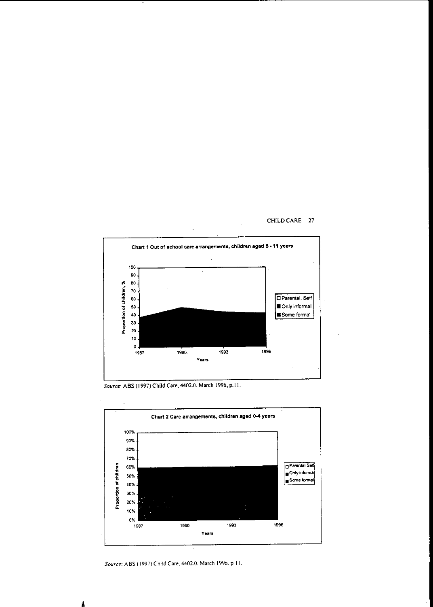

*Source:* ASS (1997) Child Care, 4402.0, March 1996. p.ll.



*Source:* ASS (1997) Child Care. 4402.0. March 1996. p.ll.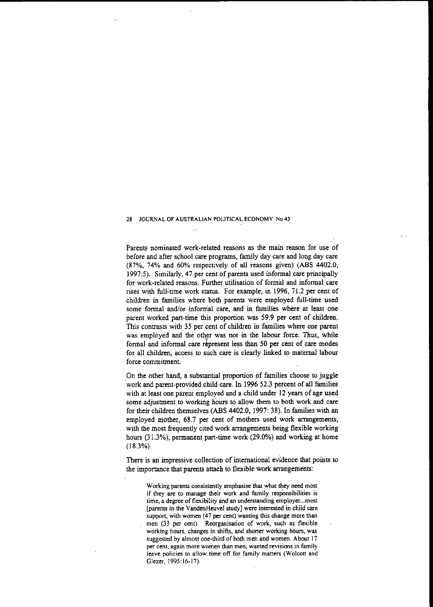Parents nominated work-related reasons as the main reason for use of before and after school care programs, family day care and long day care (87%, 74% and 60% respectively of all reasons given) (ABS 4402.0, 1997;5). Similarly, 47 per cent of parents used informal care principally for work-related reasons. Further utilisation of formal and informal care rises with full'time work status. For example, in 1996, 71.2 per cent of children in families where both parents were employed full-time used some formal and/or informal care, and in families where at least one parent worked part-time this proportion was 59.9 per cent of children. This contrasts with 35 per cent of children in families where one parent was employed and the other was not in the labour force. Thus, while formal and informal care represent less than 50 per cent of care modes for all children, access to such care is clearly linked to maternal labour force commitment.

On the other hand, a substantial proportion of families choose to juggle work and parent-provided child care. In 1996 52.3 percent of all families with at least one parent employed and a child under 12 years of age used some adjustment to working hours to allow them to both work and care for their children themselves (ABS 4402.0, 1997; 38). In families with an employed mother, 68.7 per cent of mothers used work arrangements, with the most frequently cited work arrangements being flexible working hours  $(31.3\%)$ , permanent part-time work  $(29.0\%)$  and working at home (18.3%).

There is an impressive collection of international evidence that points to the importance that parents attach to flexible work arrangements;

**Working parents consistently emphasise that what they need most if they are to manage their work: and family respOnsibilities is time, a degree of flexibility and an understanding employer...most [parents in the VandenHeuvel study] were interested in child care support, with women (47 per cent) wanting this change more than** men (33 per cent). Reorganisation of work, such as flexible **working hours, changes in shifts, and shorter working hours, was** suggested by almost one-third of both men and women. About 17 **per cent, again more women than men, wanted revisions in family leave policies to allow time ofT for family matters (Wolcott and** Glezer, 1995:16-17).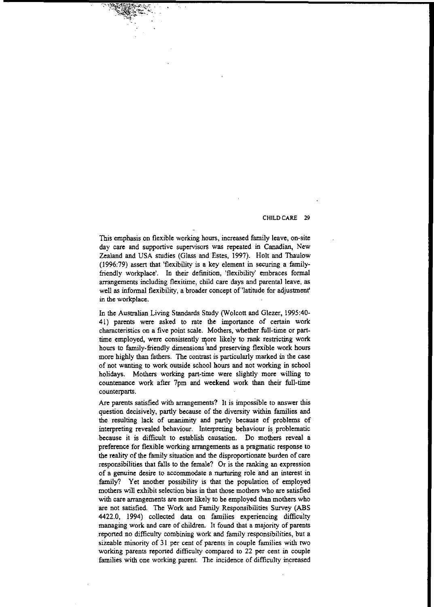This emphasis on flexible working hours, increased family leave, on-site day care and supportive supervisors was repeated in Canadian, New Zealand and USA studies (Glass and Estes, 1997). Holt and Thaulow (1996:79) assert that 'flexibility is a key element in securing a familyfriendly workplace'. In their definition, 'flexibility' embraces formal arrangements including flexitime, child care days and parental leave, as well as informal flexibility, a broader concept of 'latitude for adjustment' in the workplace.

In the Australian Living Standards Study (Wolcott and Glezer, 1995:40-41) parents were asked to rate the importance of certain work characteristics on a five point scale. Mothers, whether full-time or parttime employed, were consistently more likely to rank restricting work hours to family-friendly dimensions and preserving flexible work hours more highly than fathers. The contrast is particularly marked in the case of not wanting to work outside school hours and not working in school holidays. Mothers working part-time were slightly more willing to countenance work after 7pm and weekend work than their full-time counterparts.

Are parents satisfied with arrangements? It is impossible to answer this question decisively, partly because of the diversity within families and the resulting lack of unanimity and partly because of problems of interpreting revealed behaviour. Interpreting behaviour is problematic ·because it is difficult to establish causation. Do mothers reveal a preference for flexible working arrangements as a pragmatic response to the reality of the family situation and the disproportionate burden of care responsibilities that falls to the female? Or is the ranking an expression of a genuine desire to accommodate a nurmring role and an interest in family? Yet another possibility is that the population of employed mothers will exhibit selection bias in that those mothers who are satisfied with care arrangements are more likely to be employed than mothers who are not satisfied. The Work and Family Responsibilities Survey (ABS 4422.0, 1994) collected data on families experiencing difficulty managing work and care of children. It found that a majority of parents reported no difficulty combining work and family responsibilities, but a sizeable minority of 31 per cent of parents in couple families with two working parents reported difficulty compared to 22 per cent in couple families with one working parent. The incidence of difficulty increased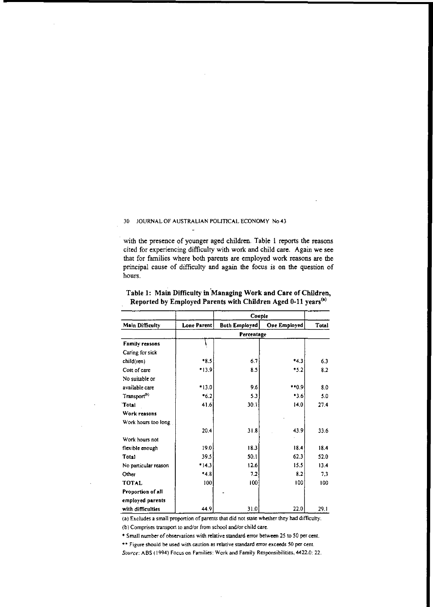with the presence of younger aged children. Table I reports the reasons cited for experiencing difficulty with work and child care. Again we see that for families where both parents are employed work reasons are the principal cause of difficulty and again the focus is on the question of hours.

|                          | Couple      |                      |                     |       |  |
|--------------------------|-------------|----------------------|---------------------|-------|--|
| Main Difficulty          | Lone Parent | <b>Both Employed</b> | <b>One Employed</b> | Total |  |
|                          | Percentage  |                      |                     |       |  |
| <b>Family reasons</b>    |             |                      |                     |       |  |
| Caring for sick          |             |                      |                     |       |  |
| child(ren)               | $*8.5$      | 6.7                  | $*4.3$              | 6.3   |  |
| Cost of care             | $*13.9$     | 8.5                  | $*5.2$              | 8.2   |  |
| No suitable or           |             |                      |                     |       |  |
| available care           | *13.0       | 9.6                  | **0.9               | 8.0   |  |
| Transport <sup>(b)</sup> | $*6.2$      | 5.3                  | *3.6                | 5.0   |  |
| Total                    | 41.6        | 30.1                 | 14.0                | 27.4  |  |
| Work reasons             |             |                      |                     |       |  |
| Work hours too long      |             |                      |                     |       |  |
|                          | 20.4        | 31.8                 | 43.9                | 33.6  |  |
| Work hours not           |             |                      |                     |       |  |
| flexible enough          | 190         | 18.3                 | 18.4                | 18.4  |  |
| Total                    | 39.5        | 50.1                 | 62.3                | 52.0  |  |
| No particular reason     | $-14.3$     | 12.6                 | 15.5                | 13.4  |  |
| Other                    | $*4.8$      | 7.2                  | 8.2                 | 7.3   |  |
| <b>TOTAL</b>             | 100         | 100                  | 100                 | 100   |  |
| Proportion of all        |             |                      |                     |       |  |
| employed parents         |             |                      |                     |       |  |
| with difficulties        | 44.9        | 31.0                 | 22.0                | 29.1  |  |

Table 1: Main Difficulty in Managing Work and Care of Children, Reported by Employed Parents with Children Aged 0-11 years(')

**(a) Excludes a small proportion** of parents **that did not state whether they had dIfficulty.**

**(b) Comprises transport to and/or from school andlor child care.**

**• Small number of observations with relative standard error between 25 to 50 per cent.**

**.. Figure should be used with caution as relative standard error exceeds** *SO* **per cent.**

*Source:* **ASS (1994) Focus on Families: Work and Family Responsibilities, 4422.0: 22.**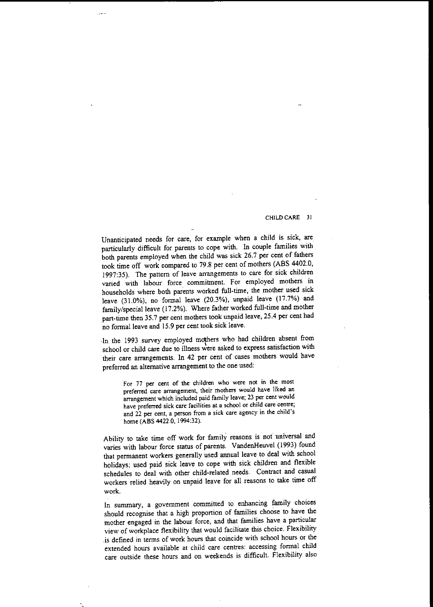Unanticipated needs for care, for example when a child is sick, are particularly difficult for parents to cope with. In couple families with both parents employed when the child was sick 26.7 per cent of fathers took time off work compared to 79.8 per cent of mothers (ABS 4402.0, 1997:35). The pattern of leave arrangements to care for sick children varied with labour force comminnent. For employed mothers in households where both parents worked full-time, the mother used sick leave (31.0%), no formal leave (20.3%), unpaid leave (17.7%) and family/special leave (17.2%). Where father worked full-time and mother part-time then 35.7 per cent mothers took unpaid leave, 25.4 per cent had no formal leave and 15.9 per cent took sick leave.

والمعار

.In the 1993 survey employed mdthers who had children absent from school or child care due to illness were asked to express satisfaction with their care arrangements. In 42 per cent of cases mothers would have preferred an alternative arrangement to the one used:

**For 77 per cent of the children who were not in the most preferred care arrangement, their mothers would have liked an arrangement which included paid family leave; 23 per cent would have preferred sick care facilities at a school or child care centre; and 22 per cent, a person from a sick care agency in the child's** home (ASS 4422.0, 1994:32).

Ability to take time off work for family reasons is not universal and varies with labour force status of parents. VandenHeuvel (1993) found that permanent workers generally used annual leave to deal with school holidays; used paid sick leave to cope with sick children and flexible schedules to deal with other child-related needs. Contract and casual workers relied heavily on unpaid leave for all reasons to take time off **work.**

In summary, a government committed to enhancing family choices should recognise that a high proponion of families choose to have the mother engaged in the labour force, and that families have a panicular view of workplace flexibility that would facilitate this choice. Flexibility .is defined in terms of work hours that coincide with school hours or the extended hours available at child care centres: accessing formal child care outside these hours and on weekends is difficult. Flexibility also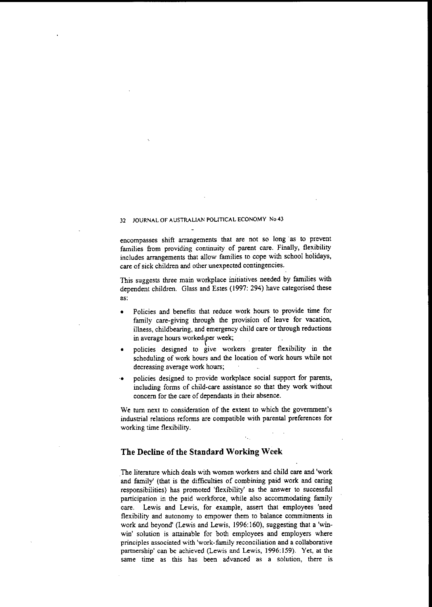encompasses shift arrangements that are not so long as to prevent families from providing continuity of parent care. Finally, flexibility includes arrangements that allow families to cope with school holidays, care of sick children and other unexpected contingencies.

This suggests three main workplace initiatives needed by families with dependent children. Glass and Estes (1997: 294) have categorised these **as:**

- Policies and benefits that reduce work hours to provide time for family care-giving through the provision of leave for vacation, illness, childbearing, and emergency child care or through reductions  $\frac{1}{2}$  in average hours worked<sub>p</sub>er week;
- policies designed to give workers greater flexibility in the scheduling of work hours and the location of work hours while not **decreasing average work hours;**
- **'.** policies designed to provide workplace social support for parents, including forms of child-care assistance so that they work without concern for the care of dependants in their absence.

We turn next to consideration of the extent to which the govemment's industrial relations reforms are compatible with parental preferences for working time flexibility.

# **The Decline** ofthe **Standard Working Week**

The literature which deals with women workers and child care and 'work and family' (that is the difficulties of combining paid work and caring responsibilities) has promoted 'flexibility' as the answer to successful participation in the paid workforce, while also accommodating family care. Lewis and Lewis, for example, assert that employees 'need flexibility and autonomy to empower them to balance commitments in work and beyond' (Lewis and Lewis, 1996:160), suggesting that a 'winwin' solution is attainable for both employees and employers where **principles associated with 'work-family reconciliation and a collaborative** partnership' can be achieved (Lewis and Lewis, 1996:159). Yet, at the **same time as this has been advanced as a solution, there is**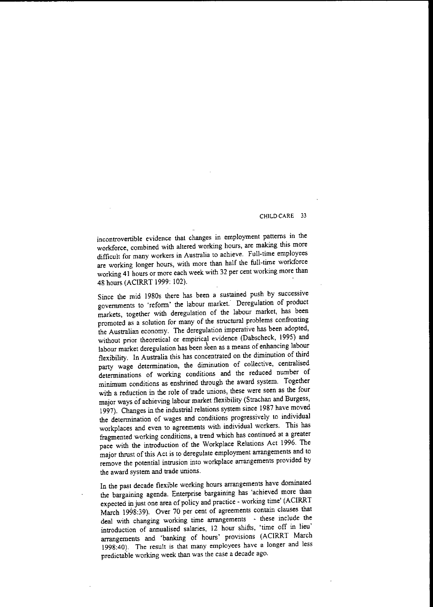**incontrovertible evidence that changes in employment patterns in the** workforce, combined with altered working hours, are making this more difficult for many workers in Australia to achieve. Full-time employees are working longer hours, with more than half the full-time workforce working **41** hours or more each week with 32 per cent working more than 48 hours (ACIRRT 1999: 102).

Since the mid 1980s there has been a sustained push by successive governments to 'reform' the labour market.· Deregulation of product markets, together with deregulation of the labour market, has been promoted as a solution for many of the structural problems confronting the Australian economy. The deregulation imperative has been adopted, without prior theoretical or empirical evidence (Dabscheck, 1995) and labour market deregulation has been seen as a means of enhancing labour flexibility. In Australia this has concentrated on the diminution of third party wage determination, the diminution of collective, centralised determinations of working conditions and the reduced number of minimum conditions as enshrined through the award system. Together with a reduction in the role of trade unions, these were seen as the four major ways of achieving labour market flexibility (Strachan and Burgess, 1997). Changes in the industrial relations system since 1987 have moved the determination of wages and conditions progressively to individual workplaces and even to agreements with individual workers. This has fragmented working conditions, a trend which has continued at a greater pace with the introduction of the Workplace Relations Act 1996. The major thrust of this Act is to deregulate employment arrangements and to remove the potential intrusion into workplace arrangements provided by the award system and trade unions.

In the past decade flexible working hours arrangements have dominated the bargaining agenda. Enterprise bargaining has 'achieved more than expected in just one area of policy and practice - working time' (ACIRRT March 1998:39). Over 70 per cent of agreements contain clauses that deal with changing working time arrangements - these include the introduction of annualised salaries, 12 hour shifts, 'time off in lieu' arrangements and 'banking of hours' provisions (ACIRRT March 1998:40). The result is that many employees have a longer and less predictable working week than was the case a decade ago.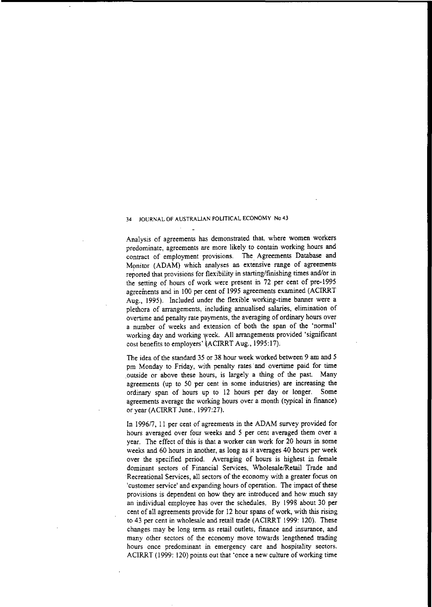Analysis of agreements has demonstrated that, where women workers predominate, agreements are more likely to contain working hours and contract of employment provisions. The. Agreements Database and Monitor (ADAM) which analyses an extensive range of agreements reported that provisions for flexibility in starting/finishing times and/or in the setting of hours of work were present in 72 per cent of pre-1995 agreements and in 100 per cent of 1995 agreements examined (ACIRRT Aug., 1995). Included under the flexible working-time banner were a plethora of arrangements, including annualised salaries, elimination of overtime and penalty rate payments, the averaging of ordinary hours over a number of weeks and extension of both the span of the 'normal' working day and working week. All arrangements provided 'significant cost benefits to employers' (ACIRRT Aug., 1995:17).

The idea of the standard 35 or 38 hour week worked between 9 am and 5 pm Monday to Friday, with penalty rates and overtime paid for time outside or above these hours, is largely a thing of the past. Many agreements (up to 50 per cent in some industries) are increasing the ordinary span of hours up to 12 hours per day or longer. Some agreements average the working hours over a month (typical in fmance) or year (ACIRRT June., 1997:27).

In 1996/7, II per cent of agreements in the ADAM survey provided for hours averaged over four weeks and 5 per cent averaged them over a year. The effect of this is that a worker can work for 20 hours in some weeks and 60 hours in another, as long as it averages 40 hours per week over the specified period. Averaging of hours is highest in female dominant sectors of Financial Services, Wholesale/Retail Trade and **Recreational Services, all sectors of the economy with a greater focus on** 'customer service' and expanding hours of operation. The impact of these provisions is dependent on how they are introduced and how much say an individual employee has over the schedules. By 1998 about 30 per cent of all agreements provide for 12 hour spans of work, with this rising to 43 per cent in wholesale and retail trade (ACIRRT 1999: 120). These changes may be long term as retail outlets, finance and insurance, and many other sectors of the economy move towards lengthened trading **hours once predominant in emergency care and hospitality sectors.** ACIRRT (1999: 120) points out that 'once a new culture of working time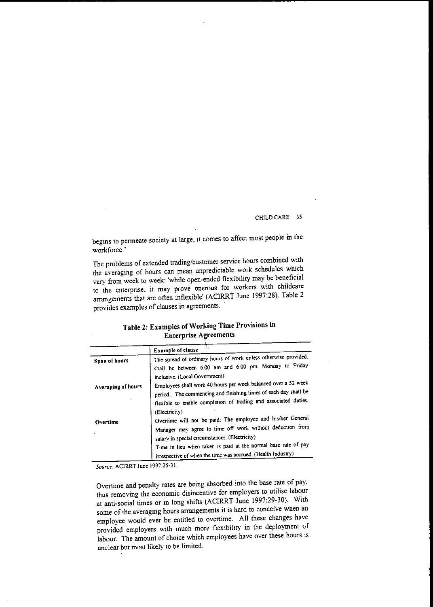begins to penneate society at large, it comes to affect most people in the workforce. '

The problems of extended trading/customer service hours combined with the averaging of hours can mean unpredictable work schedules which vary from week to week: 'while open-ended flexibility may be beneficial **to the enterprise, it may prove onerous for. workers with childcare** arrangements that are often inflexible' (ACIRRT June 1997:28). Table 2 provides examples of clauses in agreements.

|                    | Example of clause                                                                                                                                                                                                                   |
|--------------------|-------------------------------------------------------------------------------------------------------------------------------------------------------------------------------------------------------------------------------------|
| Span of hours      | The spread of ordinary hours of work unless otherwise provided,<br>shall be between 6.00 am and 6.00 pm, Monday to Friday                                                                                                           |
| Averaging of hours | inclusive. (Local Government)<br>Employees shall work 40 hours per week balanced over a 52 week<br>periodThe commencing and finishing times of each day shall be<br>flexible to enable completion of trading and associated duties. |
| Overtime           | (Electricity)<br>Overtime will not be paid: The employee and his/her General<br>Manager may agree to time off work without deduction from                                                                                           |
|                    | salary in special circumstances. (Electricity)<br>Time in lieu when taken is paid at the normal base rate of pay<br>irrespective of when the time was accrued. (Health Industry)                                                    |

Table 2: Examples of Working Time Provisions in Enterprise Agreements

*Source:* **ACIRRT June 1997:25-31.**

Overtime and penalty rates are being absorbed into the base rate of pay, thus removing the economic disincentive for employers to utilise labour at anti-social times or in long shifts (ACIRRT June 1997:29-30). With some of the averaging hours arrangements it is hard to conceive when an employee would ever be entitled to overtime. All these changes have provided employers with much more flexibility in the deployment of labour. The amount of choice which employees have over these hours is **unclear but most likely to be limited.**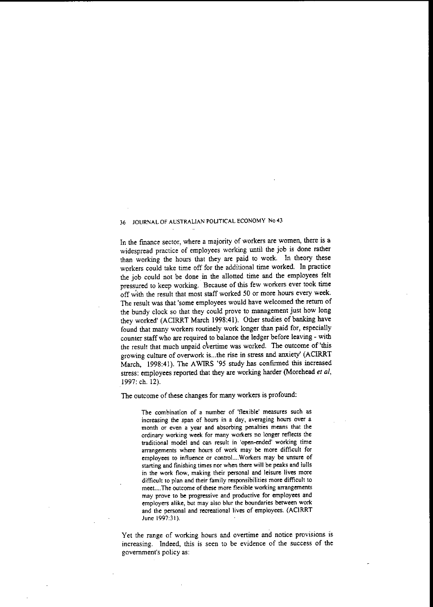In the fmance sector, where a majority of workers are women, there is a widespread practice of employees working until the job is done rather than working the hours that they are paid to work. In theory these workers could take time off for the additional time worked. In practice the job could not be done in the allotted time and the employees felt pressured to keep working. Because of this few workers ever took time off with the result that most staff worked 50 or more hours every week. The result was that 'some employees would have welcomed the return of the bundy clock so that they could prove to management just how long they worked' (ACIRRT March 1998:41). Other studies of banking have found that many workers routinely work longer than paid for, especially counter staff who are required to balance the ledger before leaving - with the result that much unpaid overtime was worked. The outcome of 'this growing culture of overwork is...the rise in stress and anxiety' (ACIRRT March, 1998:41). The AWIRS '95 study has confirmed this increased stress: employees reported that they are working harder (Morehead et al, 1997: ch. 12).

The outcome of these changes for many workers is profound:

**The combination of a number of 'flexible' measures such as increasing the span of hours in a day, averaging hours over a month or even a year and absorbing penalties means that the ordinary working week for many workers no longer reflects the traditional model and can result in 'open-ended' working time arrangements where hours of work may be more difficult for employees to influence or controL..Workers may be unsure of starting and finishing times nor when there will be peaks and lulls in the work flow, making their personal and leisure lives more difficult to plan and their family responsibilities more difficult to**  $m$ **eet....The** outcome of these more flexible working arrangements **may prove to be progressive and productive for employees and employers alike, but may also blur the boundaries between work** and the personal and recreational lives of employees. (ACIRRT June 1997:31).

Yet the range of working hours and overtime and notice provisions is **increasing. Indeed, this is seen to be evidence of the success of the government's policy as:**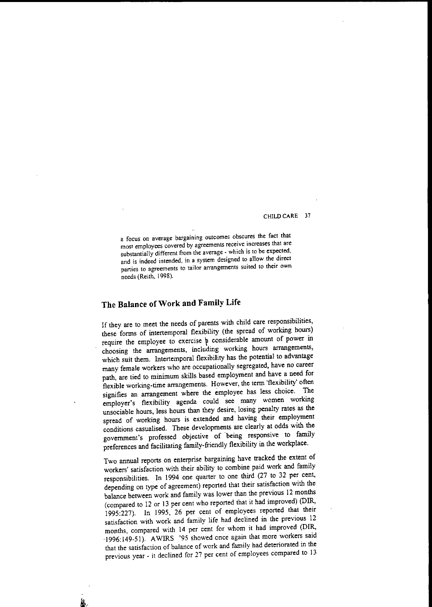**a focus on average bargaining outcomes obscures the fact that most employees covered by agreements receive increases that are substantially different from the average - which is to be expected, and is indeed intended, in a system designed to allow the direct parties to agreements to tailor arrangements suited to their own** needs (Reith, 1998).

# **The Balance** of Work **and Family Life**

If they are to meet the needs of parents with child care responsibilities, these forms of intertemporal flexibility (the spread of working hours) require the employee to exercise  $\alpha$  considerable amount of power in choosing the arrangements, including working hours arrangements, which suit them. Intertemporal flexibility has the potential to advantage many female workers who are occupationally segregated, have no career path, are tied to minimum skills based employment and have a need for flexible working-time arrangements. However, the term 'flexibility' often signifies an arrangement where the employee has less choice. The employer's flexibility agenda could see many women working unsociable hours, less hours than they desire, losing penalty rates as the spread of working hours is extended and having their employment conditions casualised. These developments are clearly at odds with the government's professed objective of ·being responsive to family preferences and facilitating family-friendly flexibility in the workplace.

Two annual reports on enterprise bargaining have tracked the extent of workers' satisfaction with their ability to combine paid work and family responsibilities. In 1994 one quarter to one third (27 to 32 per cent, depending on type of agreement) reported that their satisfaction with the balance between work and family was lower than the previous 12 months (compared to 12 or 13 per cent who reported that it had improved) (DIR, 1995:227). In 1995, 26 per cent of employees reported that their satisfaction with work and family life had declined in the previous 12 months, compared with 14 per cent for whom it had improved (DIR, .1996: 149-51). AWIRS '95 showed once again that more workers said that the satisfaction of balance of work and family had deteriorated in the previous year - it declined for 27 per cent of employees compared to 13

..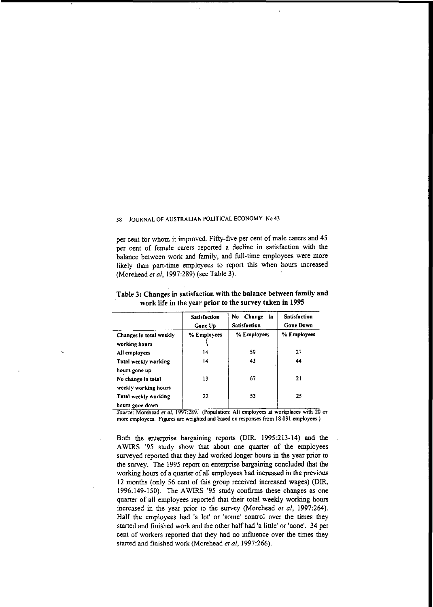per cent for whom it improved. Fifty-five per cent of male carers and 45 per cent of female carers reported a decline in satisfaction with the balance between work and family, and full-time employees were more likely than part-time employees to report this when hours increased (Morehead *el ai,* 1997:289) (see Table 3).

|                                          | Satisfaction<br>Gone Up | Change<br>No<br>in<br><b>Satisfaction</b> | <b>Satisfaction</b><br><b>Gone Down</b> |
|------------------------------------------|-------------------------|-------------------------------------------|-----------------------------------------|
| Changes in total weekly<br>working hours | % Employees             | % Employees                               | % Employees                             |
| All employees                            | 14                      | 59                                        | 27                                      |
| Total weekly working                     | 14                      | 43                                        | 44                                      |
| hours gone up                            |                         |                                           |                                         |
| No change in total                       | 13                      | 67                                        | 21                                      |
| weekly working hours                     |                         |                                           |                                         |
| Total weekly working                     | 22                      | 53                                        | 25                                      |
| hours gone down                          |                         |                                           |                                         |

Table 3: Changes in satisfaction with the balance between family and work life in the year prior to the survey taken in 1995

*Source.* **Morehead** *et ai,* **1997.289. (Population. All employees at workplaces Wlth 20 or more employees. Figures are weighted and based on responses from J8 091 employees.)**

Both the enterprise bargaining reports (DIR, 1995:213-14) and the AWIRS '95 study show that about one quarter of the employees surveyed reported that they had worked longer hours in the year prior to the survey. The 1995 report on enterprise bargaining concluded that the working hours of a quarter of all employees had increased in the previous 12 months (only 56 cent of this group received increased wages) (DlR, 1996: 149-150). The AWIRS '95 study confirms these changes as one quarter of all employees reported that their total weekly working hours increased in the year prior to the survey (Morehead *el ai,* 1997:264). Half the employees had 'a lot' or 'some' control over the times they staned and fmished work and the other half had 'a little' or 'none'. 34 per cent of workers reported that they had no influence over the times they started and finished work (Morehead *et ai,* 1997:266).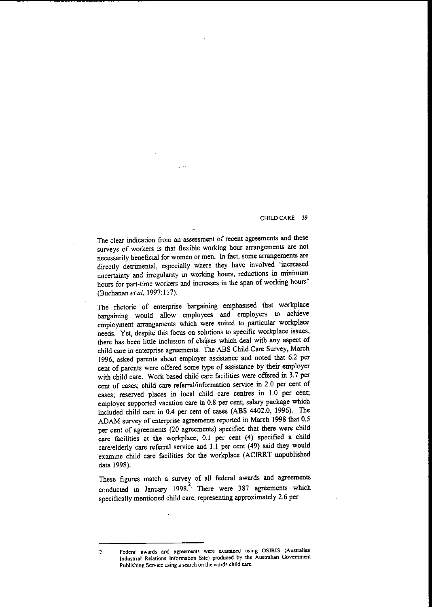The clear indication from an assessment of recent agreements and these surveys of workers is that flexible working hour arrangements are not **necessarily beneficial for women or men. In fact, some arrangements are** directly detrimental, especially where they have involved 'increased uncertainty and irregularity in working hours, reductions in minimum hours for part-time workers and increases in the span of working hours' (Buchanan *et ai,* 1997: 117).

The rhetoric of enterprise bargaining emphasised that workplace bargaining would allow employees and employers to achieve employment arrangements which were suited to particular workplace needs. Yet, despite this focus on solutions to specific workplace issues, there has been little inclusion of clauses which deal with any aspect of child care in enterprise agreements. The ABS Child Care Survey, March ·1996, asked parents about employer assistance and noted that 6.2 per cent of parents were offered some type of assistance by their employer with child care. Work based child care facilities were offered in 3.7 per cent of cases; child care referral/information service in 2.0 per cent of cases; reserved places in local child care centres in 1.0 per cent; employer supported vacation care in 0.8 per cent; salary package which included child care in 0.4 per cent of cases (ABS 4402.0, 1996). The ADAM survey of enterprise agreements reported in March 1998 that 0.5 per cent of agreements (20 agreements) specified that there were child care facilities at the workplace; 0.1 per cent (4) specified a child care/elderly care referral service and 1.I per cent (49) said they would examine child care facilities for the workplace (ACIRRT unpublished data 1998).

These figures match a survey of all federal awards and agreements conducted in January 1998.<sup>1</sup> There were 387 agreements which specifically mentioned child care, representing approximately 2.6 per

**<sup>2</sup> Federal awards and agreements were examined using OSIRIS (Australian Industrial Relations Infonnation Site) produced by the Australian Government Publishing Service using a search on the words child cart.**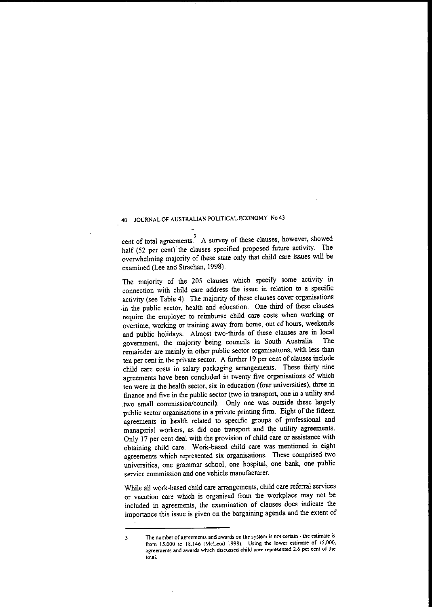cent of total agreements. A survey of these clauses, however, showed half (52 per cent) the clauses specified proposed future activity. The overwhelming majority of these state only that child care issues will be examined (Lee and Strachan, 1998).

The majority of the 205 clauses which specify some activity in connection with child care address the issue in relation to a specific activity (see Table 4). The majority of these clauses cover organisations in the public sector, health and education. One third of these clauses require the employer to reimburse child care costs when working or overtime, working or training away from home, out of hours, weekends and public holidays. Almost two-thirds of these clauses are in local community the majority being councils in South Australia. The government, the majority being councils in South Australia. remainder are mainly in other public sector organisations, with less than ten per cent in the private sector. A further 19 per cent of clauses include child care costs in salary packaging arrangements. These thirty nine agreements have been concluded in twenty five organisations of which ten were in the health sector, six in education (four universities), three in finance and five in the public sector (two in transport, one in a utility and .two small commission/council). Only one was outside these largely public sector organisations in a private printing firm. Eight of the fifteen agreements in health related to specific groups of professional and managerial workers, as did one transport and the utility agreements. Only 17 per cent deal with the provision of child care or assislance with obtaining child care. Work-based child care was mentioned in eight **agreements which represented six organisations. These comprised two** universities, one grammar school, one hospital, one bank, one public **service commission and one vehicle manufacturer.**

While all work-based child care arrangements, child care referral services or vacation care which is organised from the workplace may not be included in agreements, the examination of clauses does indicate the importance this issue is given on the bargaining agenda and the extent of

**<sup>3</sup> The number of agreements and awards on the system is not certain· the estimate is from 15,000 to 18.146 (McLeod 1998). Using the lower estimate of 15.000. agreements and awards which discussed child care represented 2.6 per cent of the total.**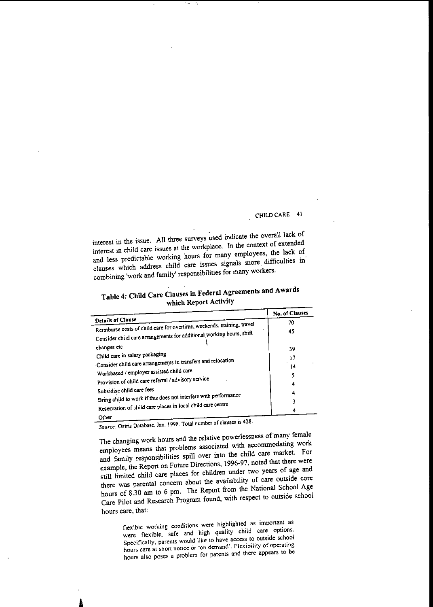interest in the issue. All three surveys used indicate the overall lack of interest in child care issues at the workplace. In the context of extended and less predictable working hours for many employees, the lack of clauses which address child care issues signals more difficulties in combining 'work and family' responsibilities for many workers.

| Table 4: Child Care Clauses in Federal Agreements and Awards |  |
|--------------------------------------------------------------|--|
| which Report Activity                                        |  |

|                                                                                                                                                | No. of Clauses |
|------------------------------------------------------------------------------------------------------------------------------------------------|----------------|
| Details of Clause                                                                                                                              | 70             |
| Reimburse costs of child care for overtime, weekends, training, travel<br>Consider child care arrangements for additional working hours, shift | 45             |
| changes etc                                                                                                                                    | 39             |
| Child care in salary packaging                                                                                                                 | 17             |
| Consider child care arrangements in transfers and relocation                                                                                   | 14             |
| Workbased / employer assisted child care<br>Provision of child care referral / advisory service                                                |                |
|                                                                                                                                                |                |
| Subsidise child care fees                                                                                                                      |                |
| Bring child to work if this does not interfere with performance                                                                                |                |
| Reservation of child care places in local child care centre                                                                                    |                |
| Other                                                                                                                                          |                |

*Source:* **Osiris Database. Jan. 1998. Total number** of clauses **is 428.**

The changing work hours and the relative powerlessness of many female employees means that problems associated with accommodaring work and family responsibilities spill over into the child care market. For example, the Report on Future Directions, 1996-97, noted that there were still limited child care places for children under two years of age and there was parental concern about the availability of care outside core hours of 8.30 am to 6 pm. The Report from the National School Age Care Pilot and Research Program found, with respect to outside school **hours care, that:**

> **flexible working conditions were highlighted as important as were flexible. safe and high quality child care options. Specifically, parents would like to have access to outside school hours care at short notice or 'on demand'. Flexibility of operating hours also poses a problem for parents and there appears to be**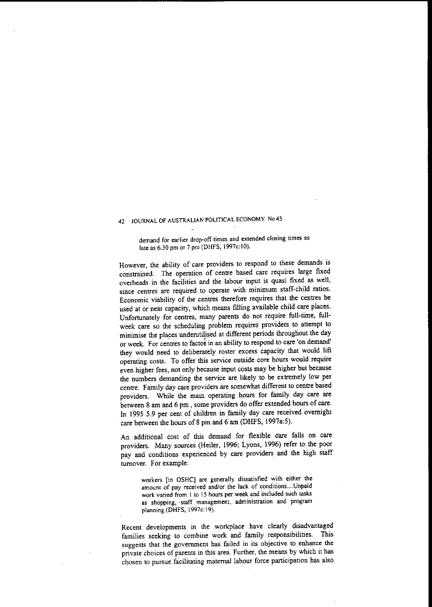**demand for earlier drop-off times and extended closing times as** late as 6.30 pm or 7 pm (DHFS, 1997c:10).

However, the ability of care providers to respond to these demands is constrained. The operation of centre based care requires large ftxed overheads in the facilities and the labour input is quasi ftxed as well, since centres are required to operate with minimum staff-child ratios. Economic viability of the centres therefore requires that the centres be used at or near capacity, which means ftlling available child care places. Unfortunately for centres, many parents do not require full-time, fullweek care so the scheduling problem requires providers to attempt to minimise the places underutilised at different periods throughout the day **or week. For centres to** *factoi* **in an ability to respond to care 'on demand'** they would need to deliberately roster excess capacity that would lift operating costs. To offer this service outside core hours would require even higher fees, not only because input costs may be higher but because the numbers demanding the service are likely to be extremely low per centre. Family day care providers are somewhat different to centre based providers. While the main operating hours for family day care are between 8 am and 6 pm , some providers do offer extended hours of care. In 1995 5.9 per cent of children in family day care received overnight care between the hours of 8 pm and 6 am (DHFS, 1997a:5).

An additional cost of this demand for flexible' care falls on care providers. Many sources (Heiler, 1996; Lyons, 1996) refer to the poor pay and conditions experienced by care providers and the high staff turnover. For example:

**workers [in OSHCl are generally dissatisfied with either the amount of pay received and/or the lack of conditions....Unpaid work varied from I to 15 hOUTS per week and included such tasks as shopping,'staff management, administration and program** planning (DHFS, 1997c: 19).

Recent developments in the workplace have clearly disadvantaged families seeking to combine work and family responsibilities. This **suggests that the government has failed in its objective to enhance the** private choices of parents in this area. Further, the means by which it has chosen to pursue facilitating maternal labour force participation has also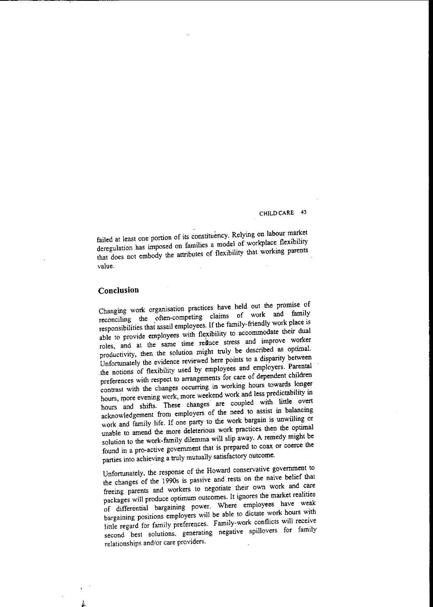failed at least one portion of its constituency. Relying on labour market deregulation has imposed on families a model of workplace flexibility that does not embody the attributes of flexibility that working parents **value.**

# **Conclusion**

Changing work organisation practices have held out the promise of reconciling the often-competing claims of work and family responsibilities that assail employees. If the family-friendly work place is able to provide employees with flexibility to accommodate their dual roles, and at the same time reduce stress and improve worker productivity, then the solution might truly be described as optimal. Unfortunately the evidence reviewed here points to a disparity between the notions of flexibility used by employees and employers. Parental preferences with respect to arrangements for care of dependent children contrast with the changes occurring in working hours towards longer hours, more evening work, more weekend work and less predictability in hours and shifts. These changes are coupled with little overt acknowledgement from employers of the need to assist in balancing work and family life. Jf one party to the work bargain is unwilling or unable to amend the more deleterious work practices then the optimal solution to the work-family dilemma will slip away. A remedy might be found in a pro-active government that is prepared to coax or coerce the parties into achieving a truJy mutually satisfactory outcome.

Unfortunately, the response of the Howard conservative government to the changes of the 1990s is passive and rests on the naive helief that freeing parents and workers to negotiate their own work and care packages will produce optimum outcomes. It ignores the market realities of differential hargaining power. Where employees have weak bargaining positions employers will be able to dictate work hours with linle regard for family preferences. Family-work conflicts will receive second best solutions. generating negative spillovers for family  $relationships and/or care providers.$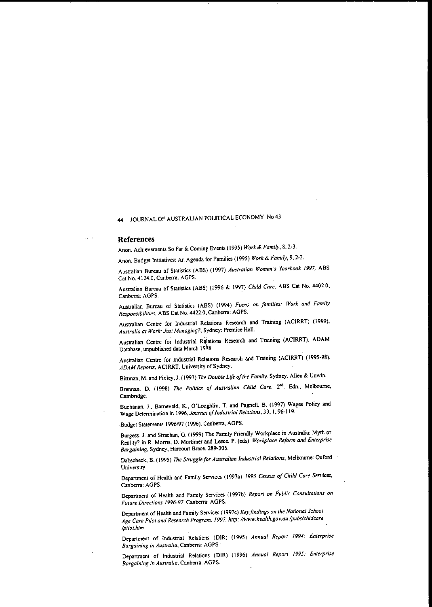#### References

 $\sim$   $\sim$ 

Anon, Achievements So Far & Coming Events (1995) *Work* & *Family,* 8, 2-3.

Anon, Budget Initiatives: An Agenda for Families (1995) *Work* &' *Family,* 9, 2~3.

Australian Bureau of Statistics (ABS) (1997) *Australian Women's Yearbook* 1997, ABS Cat No. 4124.0. Canberra: AGPS.

Australian Bureau of Statistics (ABS) (1996 & 1997) *Child Care,* ABS Cat No. 4402.0. Canberra: AGPS.

Australian Bureau of Statistics (ABS) (1994) *Focus on families: Work and Family Responsibilities,* ABS Cat No. 4422.0, Canberra: AGPS.

.Australian Centre for Industrial Relations Research and Training (AClRRT) (1999), *Australia at Work: Just Managing?* Sydney: Prentice Hall.

Australian Centre for Industrial Relations Research and Training (ACIRRT), ADAM Database, unpublished data March 1998.

Australian Centre for Industrial Relations Research and Training (ACIRRT) (1995·98), ADAM Reports, ACIRRT, University of Sydney.

Bittman, M. and Pixley, J. (1997) *The Double Life of the Family*, Sydney, Allen & Unwin.

Brennan, D. (1998) *The Politics of Australian Child Care*, 2<sup>nd</sup>. Edn., Melbourne, Cambridge.

Buchanan, J., Bameveld. K.. O'Loughlin. T. and Pagnell, B. (1997) Wages Policy and Wage Determination in 1996. *Journal* 0/*Industrial Relations,* 39, 1,96-119.

Budget Statements 1996/97 (1996). Canberra, AGPS.

Burgess. J. and Straehan. G. (1999) The Family Friendly Workplace in Australia: Myth or Reality? in R. Morris, D. Mortimer and Leece, P. (eds) *Workplace Reform and Ell1erprise Bargaining,* Sydney, Harcourt Brace. 289~306.

Dabscheck, B. (1995) *The Struggle/or Australian lndustrial Relations,* Melbomne: Oxford University.

Department of Health and Family Services (1997a) 1995 Census of Child Care Services, Canberra: AGPS.

Department of Health and Family Services (1997b) *Report on Public Consultations on Future Directions* 1996-97, Canberra: AGPS.

Department of Health and Family Service; (1997c) *Key.findings on the National School Age Care Pilot and Research Program, 1997, http://www.healthgov.au/pubs/chldcare /pilot.htm*

Department of lndustrial Relations (DlR) (1995) *Annual Report* 1994: *Enterprise Bargaining in Australia,* Canberra: AGPS.

Department of Industrial Relations (DIR) (1996) Annual Report 1995: Enterprise *Bargaining in Australia,* Canberra: AGPS.